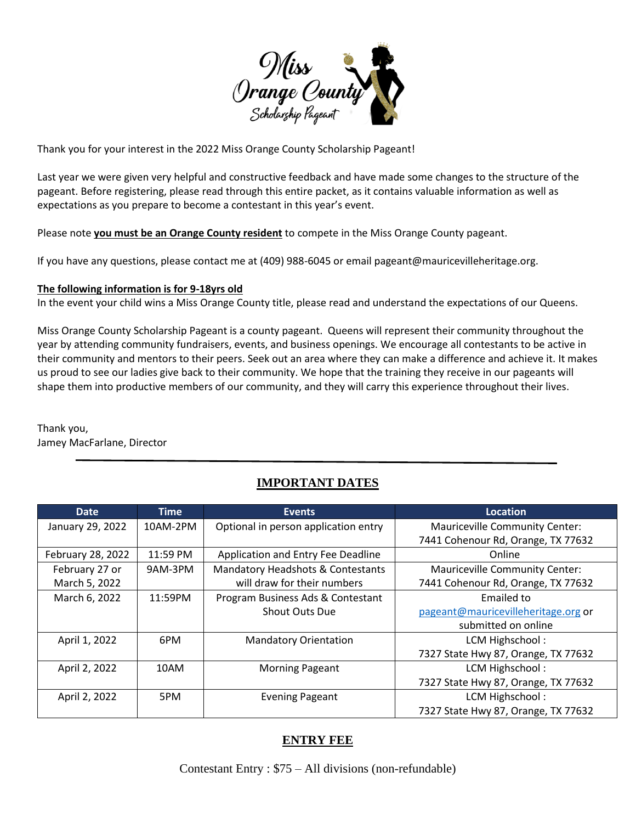

Thank you for your interest in the 2022 Miss Orange County Scholarship Pageant!

Last year we were given very helpful and constructive feedback and have made some changes to the structure of the pageant. Before registering, please read through this entire packet, as it contains valuable information as well as expectations as you prepare to become a contestant in this year's event.

Please note **you must be an Orange County resident** to compete in the Miss Orange County pageant.

If you have any questions, please contact me at (409) 988-6045 or email pageant@mauricevilleheritage.org.

## **The following information is for 9-18yrs old**

In the event your child wins a Miss Orange County title, please read and understand the expectations of our Queens.

Miss Orange County Scholarship Pageant is a county pageant. Queens will represent their community throughout the year by attending community fundraisers, events, and business openings. We encourage all contestants to be active in their community and mentors to their peers. Seek out an area where they can make a difference and achieve it. It makes us proud to see our ladies give back to their community. We hope that the training they receive in our pageants will shape them into productive members of our community, and they will carry this experience throughout their lives.

Thank you, Jamey MacFarlane, Director

# **IMPORTANT DATES**

| <b>Date</b>       | <b>Time</b> | <b>Events</b>                        | Location                              |
|-------------------|-------------|--------------------------------------|---------------------------------------|
| January 29, 2022  | 10AM-2PM    | Optional in person application entry | <b>Mauriceville Community Center:</b> |
|                   |             |                                      | 7441 Cohenour Rd, Orange, TX 77632    |
| February 28, 2022 | 11:59 PM    | Application and Entry Fee Deadline   | Online                                |
| February 27 or    | 9AM-3PM     | Mandatory Headshots & Contestants    | <b>Mauriceville Community Center:</b> |
| March 5, 2022     |             | will draw for their numbers          | 7441 Cohenour Rd, Orange, TX 77632    |
| March 6, 2022     | 11:59PM     | Program Business Ads & Contestant    | Emailed to                            |
|                   |             | <b>Shout Outs Due</b>                | pageant@mauricevilleheritage.org or   |
|                   |             |                                      | submitted on online                   |
| April 1, 2022     | 6PM         | <b>Mandatory Orientation</b>         | LCM Highschool:                       |
|                   |             |                                      | 7327 State Hwy 87, Orange, TX 77632   |
| April 2, 2022     | 10AM        | <b>Morning Pageant</b>               | LCM Highschool:                       |
|                   |             |                                      | 7327 State Hwy 87, Orange, TX 77632   |
| April 2, 2022     | 5PM         | <b>Evening Pageant</b>               | LCM Highschool:                       |
|                   |             |                                      | 7327 State Hwy 87, Orange, TX 77632   |

# **ENTRY FEE**

Contestant Entry : \$75 – All divisions (non-refundable)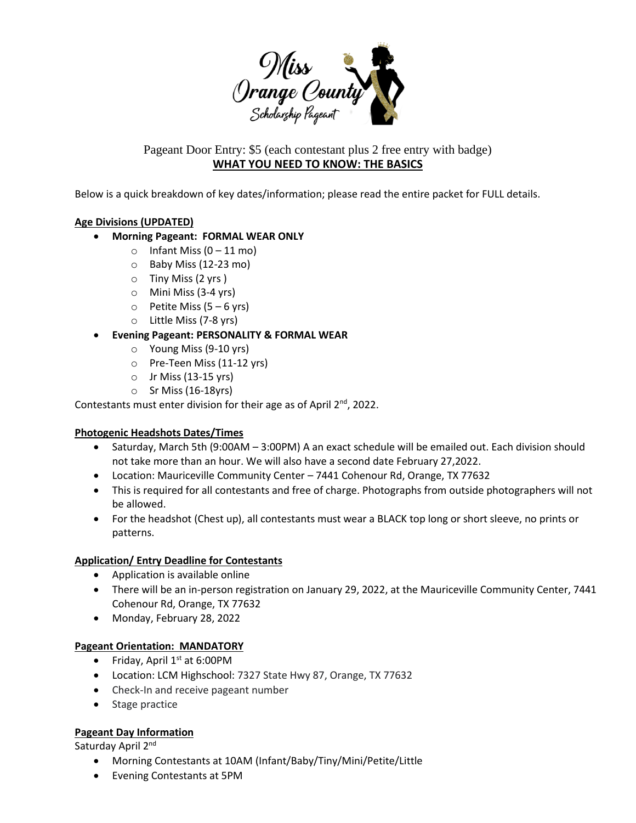

Pageant Door Entry: \$5 (each contestant plus 2 free entry with badge) **WHAT YOU NEED TO KNOW: THE BASICS**

Below is a quick breakdown of key dates/information; please read the entire packet for FULL details.

## **Age Divisions (UPDATED)**

## • **Morning Pageant: FORMAL WEAR ONLY**

- $\circ$  Infant Miss (0 11 mo)
- o Baby Miss (12-23 mo)
- o Tiny Miss (2 yrs )
- o Mini Miss (3-4 yrs)
- $\circ$  Petite Miss (5 6 yrs)
- o Little Miss (7-8 yrs)
- **Evening Pageant: PERSONALITY & FORMAL WEAR**
	- o Young Miss (9-10 yrs)
	- o Pre-Teen Miss (11-12 yrs)
	- $\circ$  Jr Miss (13-15 yrs)
	- $\circ$  Sr Miss (16-18yrs)

Contestants must enter division for their age as of April  $2^{nd}$ , 2022.

### **Photogenic Headshots Dates/Times**

- Saturday, March 5th (9:00AM 3:00PM) A an exact schedule will be emailed out. Each division should not take more than an hour. We will also have a second date February 27,2022.
- Location: Mauriceville Community Center 7441 Cohenour Rd, Orange, TX 77632
- This is required for all contestants and free of charge. Photographs from outside photographers will not be allowed.
- For the headshot (Chest up), all contestants must wear a BLACK top long or short sleeve, no prints or patterns.

### **Application/ Entry Deadline for Contestants**

- Application is available online
- There will be an in-person registration on January 29, 2022, at the Mauriceville Community Center, 7441 Cohenour Rd, Orange, TX 77632
- Monday, February 28, 2022

### **Pageant Orientation: MANDATORY**

- Friday, April  $1<sup>st</sup>$  at 6:00PM
- Location: LCM Highschool: 7327 State Hwy 87, Orange, TX 77632
- Check-In and receive pageant number
- Stage practice

### **Pageant Day Information**

Saturday April 2<sup>nd</sup>

- Morning Contestants at 10AM (Infant/Baby/Tiny/Mini/Petite/Little
- Evening Contestants at 5PM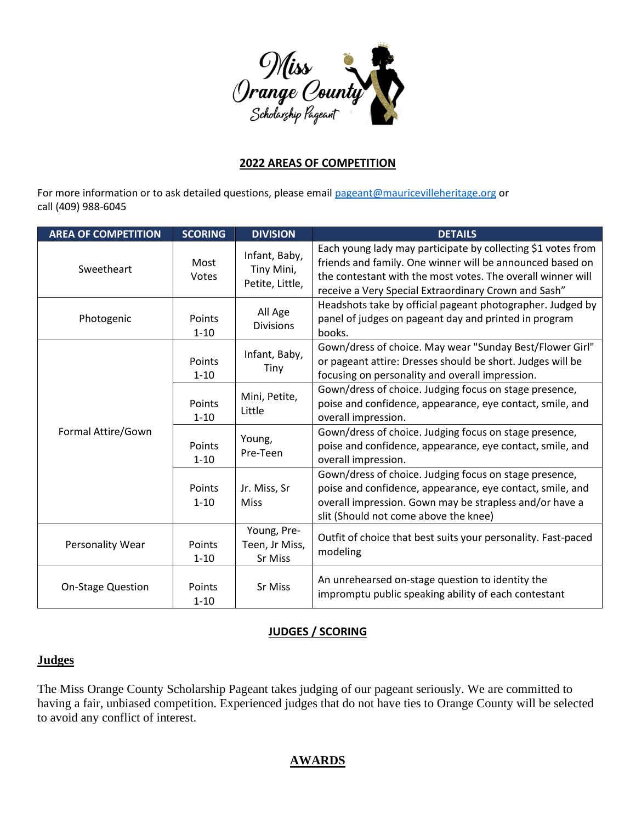

# **2022 AREAS OF COMPETITION**

For more information or to ask detailed questions, please email [pageant@mauricevilleheritage.org](mailto:pageant@mauricevilleheritage.org) or call (409) 988-6045

| <b>AREA OF COMPETITION</b> | <b>SCORING</b>     | <b>DIVISION</b>                                | <b>DETAILS</b>                                                                                                                                                                                                                                   |
|----------------------------|--------------------|------------------------------------------------|--------------------------------------------------------------------------------------------------------------------------------------------------------------------------------------------------------------------------------------------------|
| Sweetheart                 | Most<br>Votes      | Infant, Baby,<br>Tiny Mini,<br>Petite, Little, | Each young lady may participate by collecting \$1 votes from<br>friends and family. One winner will be announced based on<br>the contestant with the most votes. The overall winner will<br>receive a Very Special Extraordinary Crown and Sash" |
| Photogenic                 | Points<br>$1 - 10$ | All Age<br><b>Divisions</b>                    | Headshots take by official pageant photographer. Judged by<br>panel of judges on pageant day and printed in program<br>books.                                                                                                                    |
|                            | Points<br>$1 - 10$ | Infant, Baby,<br>Tiny                          | Gown/dress of choice. May wear "Sunday Best/Flower Girl"<br>or pageant attire: Dresses should be short. Judges will be<br>focusing on personality and overall impression.                                                                        |
|                            | Points<br>$1 - 10$ | Mini, Petite,<br>Little                        | Gown/dress of choice. Judging focus on stage presence,<br>poise and confidence, appearance, eye contact, smile, and<br>overall impression.                                                                                                       |
| Formal Attire/Gown         | Points<br>$1 - 10$ | Young,<br>Pre-Teen                             | Gown/dress of choice. Judging focus on stage presence,<br>poise and confidence, appearance, eye contact, smile, and<br>overall impression.                                                                                                       |
|                            | Points<br>$1 - 10$ | Jr. Miss, Sr<br><b>Miss</b>                    | Gown/dress of choice. Judging focus on stage presence,<br>poise and confidence, appearance, eye contact, smile, and<br>overall impression. Gown may be strapless and/or have a<br>slit (Should not come above the knee)                          |
| Personality Wear           | Points<br>$1 - 10$ | Young, Pre-<br>Teen, Jr Miss,<br>Sr Miss       | Outfit of choice that best suits your personality. Fast-paced<br>modeling                                                                                                                                                                        |
| <b>On-Stage Question</b>   | Points<br>$1 - 10$ | Sr Miss                                        | An unrehearsed on-stage question to identity the<br>impromptu public speaking ability of each contestant                                                                                                                                         |

# **JUDGES / SCORING**

# **Judges**

The Miss Orange County Scholarship Pageant takes judging of our pageant seriously. We are committed to having a fair, unbiased competition. Experienced judges that do not have ties to Orange County will be selected to avoid any conflict of interest.

# **AWARDS**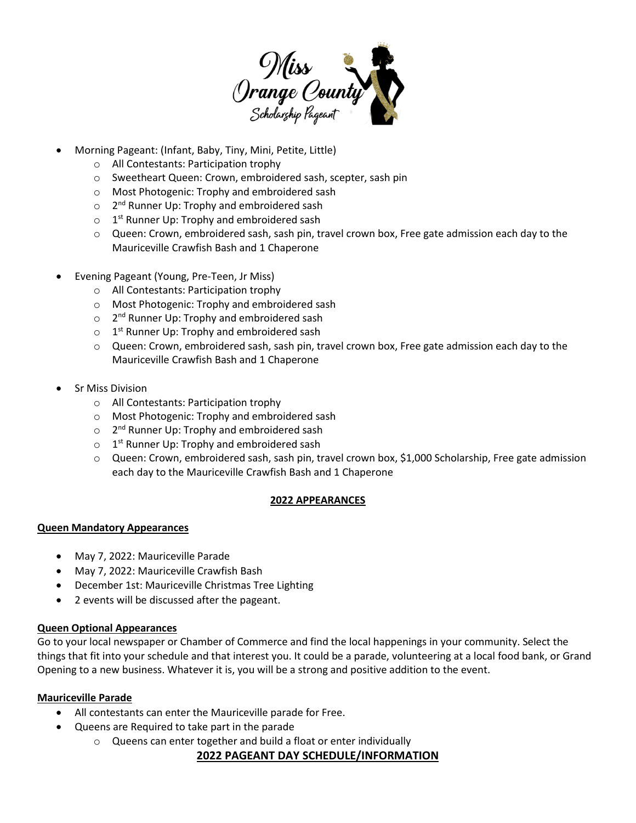

- Morning Pageant: (Infant, Baby, Tiny, Mini, Petite, Little)
	- o All Contestants: Participation trophy
	- o Sweetheart Queen: Crown, embroidered sash, scepter, sash pin
	- o Most Photogenic: Trophy and embroidered sash
	- o 2<sup>nd</sup> Runner Up: Trophy and embroidered sash
	- o 1<sup>st</sup> Runner Up: Trophy and embroidered sash
	- o Queen: Crown, embroidered sash, sash pin, travel crown box, Free gate admission each day to the Mauriceville Crawfish Bash and 1 Chaperone
- Evening Pageant (Young, Pre-Teen, Jr Miss)
	- o All Contestants: Participation trophy
	- o Most Photogenic: Trophy and embroidered sash
	- o 2<sup>nd</sup> Runner Up: Trophy and embroidered sash
	- o 1<sup>st</sup> Runner Up: Trophy and embroidered sash
	- o Queen: Crown, embroidered sash, sash pin, travel crown box, Free gate admission each day to the Mauriceville Crawfish Bash and 1 Chaperone
- Sr Miss Division
	- o All Contestants: Participation trophy
	- o Most Photogenic: Trophy and embroidered sash
	- o 2<sup>nd</sup> Runner Up: Trophy and embroidered sash
	- o 1<sup>st</sup> Runner Up: Trophy and embroidered sash
	- o Queen: Crown, embroidered sash, sash pin, travel crown box, \$1,000 Scholarship, Free gate admission each day to the Mauriceville Crawfish Bash and 1 Chaperone

### **2022 APPEARANCES**

### **Queen Mandatory Appearances**

- May 7, 2022: Mauriceville Parade
- May 7, 2022: Mauriceville Crawfish Bash
- December 1st: Mauriceville Christmas Tree Lighting
- 2 events will be discussed after the pageant.

### **Queen Optional Appearances**

Go to your local newspaper or Chamber of Commerce and find the local happenings in your community. Select the things that fit into your schedule and that interest you. It could be a parade, volunteering at a local food bank, or Grand Opening to a new business. Whatever it is, you will be a strong and positive addition to the event.

### **Mauriceville Parade**

- All contestants can enter the Mauriceville parade for Free.
- Queens are Required to take part in the parade
	- o Queens can enter together and build a float or enter individually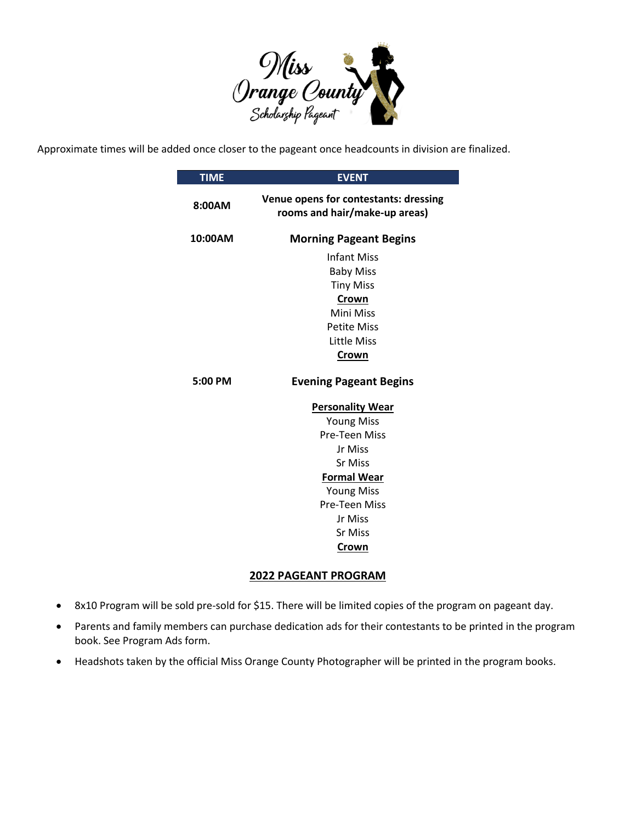

Approximate times will be added once closer to the pageant once headcounts in division are finalized.

| <b>TIME</b> | <b>EVENT</b>                                                           |  |
|-------------|------------------------------------------------------------------------|--|
| 8:00AM      | Venue opens for contestants: dressing<br>rooms and hair/make-up areas) |  |
| 10:00AM     | <b>Morning Pageant Begins</b>                                          |  |
|             | <b>Infant Miss</b><br><b>Baby Miss</b><br><b>Tiny Miss</b>             |  |
|             | Crown<br>Mini Miss                                                     |  |
|             | <b>Petite Miss</b>                                                     |  |
|             | Little Miss                                                            |  |
|             | Crown                                                                  |  |
| $5:00$ PM   | <b>Evening Pageant Begins</b>                                          |  |
|             | <b>Personality Wear</b>                                                |  |
|             | <b>Young Miss</b>                                                      |  |
|             | <b>Pre-Teen Miss</b>                                                   |  |
|             | Jr Miss                                                                |  |
|             | <b>Sr Miss</b>                                                         |  |
|             | <b>Formal Wear</b>                                                     |  |
|             | <b>Young Miss</b>                                                      |  |
|             | Pre-Teen Miss                                                          |  |
|             | Jr Miss                                                                |  |
|             | <b>Sr Miss</b>                                                         |  |
|             | Crown                                                                  |  |

## **2022 PAGEANT PROGRAM**

- 8x10 Program will be sold pre-sold for \$15. There will be limited copies of the program on pageant day.
- Parents and family members can purchase dedication ads for their contestants to be printed in the program book. See Program Ads form.
- Headshots taken by the official Miss Orange County Photographer will be printed in the program books.